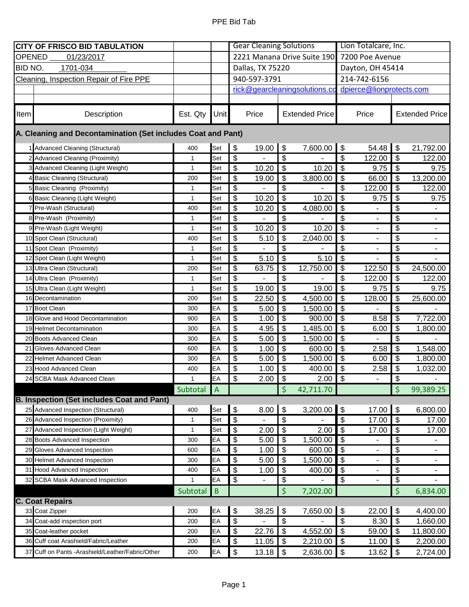| <b>CITY OF FRISCO BID TABULATION</b>                         |                                                   |              |                | <b>Gear Cleaning Solutions</b> |                          |                           |                          | Lion Totalcare, Inc.                   |                          |                                        |                       |
|--------------------------------------------------------------|---------------------------------------------------|--------------|----------------|--------------------------------|--------------------------|---------------------------|--------------------------|----------------------------------------|--------------------------|----------------------------------------|-----------------------|
| <b>OPENED</b><br>01/23/2017                                  |                                                   |              |                | 2221 Manana Drive Suite 190    |                          |                           |                          | 7200 Poe Avenue                        |                          |                                        |                       |
| <b>BID NO.</b><br>1701-034                                   |                                                   |              |                | Dallas, TX 75220               |                          |                           |                          | Dayton, OH 45414                       |                          |                                        |                       |
| Cleaning, Inspection Repair of Fire PPE                      |                                                   |              |                | 940-597-3791                   |                          |                           |                          | 214-742-6156                           |                          |                                        |                       |
|                                                              |                                                   |              |                | rick@gearcleaningsolutions.co  |                          |                           |                          | dpierce@lionprotects.com               |                          |                                        |                       |
|                                                              |                                                   |              |                |                                |                          |                           |                          |                                        |                          |                                        |                       |
| Item                                                         | Description                                       | Est. Qty     | <b>Unit</b>    |                                | Price                    |                           | <b>Extended Price</b>    |                                        | Price                    |                                        | <b>Extended Price</b> |
| A. Cleaning and Decontamination (Set includes Coat and Pant) |                                                   |              |                |                                |                          |                           |                          |                                        |                          |                                        |                       |
|                                                              | 1 Advanced Cleaning (Structural)                  | 400          | Set            | $\$\$                          | 19.00                    | \$                        | 7,600.00                 | \$                                     | 54.48                    | \$                                     | 21,792.00             |
|                                                              | 2 Advanced Cleaning (Proximity)                   | $\mathbf{1}$ | Set            | \$                             |                          | \$                        |                          | $\boldsymbol{\mathsf{S}}$              | 122.00                   | \$                                     | 122.00                |
|                                                              | 3 Advanced Cleaning (Light Weight)                | $\mathbf{1}$ | Set            | $\overline{\mathbf{S}}$        | 10.20                    | $\boldsymbol{\mathsf{S}}$ | 10.20                    | $\overline{\mathfrak{s}}$              | 9.75                     | $\bullet$                              | 9.75                  |
|                                                              | 4 Basic Cleaning (Structural)                     | 200          | Set            | \$                             | 19.00                    | \$                        | 3,800.00                 | \$                                     | 66.00                    | $\boldsymbol{\mathsf{S}}$              | 13,200.00             |
|                                                              | 5 Basic Cleaning (Proximity)                      | $\mathbf{1}$ | Set            | $\overline{\$}$                |                          | \$                        |                          | $\overline{\boldsymbol{\mathfrak{s}}}$ | 122.00                   | \$                                     | 122.00                |
| 6                                                            | Basic Cleaning (Light Weight)                     | $\mathbf{1}$ | Set            | \$                             | 10.20                    | \$                        | 10.20                    | \$                                     | 9.75                     | \$                                     | 9.75                  |
|                                                              | Pre-Wash (Structural)                             | 400          | Set            | $\overline{\mathcal{G}}$       | 10.20                    | \$                        | 4,080.00                 | \$                                     | $\overline{\phantom{m}}$ | \$                                     | $\blacksquare$        |
|                                                              | 8 Pre-Wash (Proximity)                            | $\mathbf{1}$ | Set            | $\overline{\mathbf{S}}$        | $\blacksquare$           | \$                        |                          | $\overline{\boldsymbol{\mathfrak{s}}}$ | $\overline{\phantom{0}}$ | $\boldsymbol{\theta}$                  | $\blacksquare$        |
|                                                              | 9 Pre-Wash (Light Weight)                         | $\mathbf{1}$ | Set            | \$                             | 10.20                    | \$                        | 10.20                    | $\frac{1}{2}$                          |                          | $\overline{\mathcal{S}}$               |                       |
|                                                              | 10 Spot Clean (Structural)                        | 400          | Set            | \$                             | 5.10                     | \$                        | 2,040.00                 | $\overline{\boldsymbol{\mathfrak{s}}}$ |                          | $\overline{\boldsymbol{\theta}}$       |                       |
|                                                              | 11 Spot Clean (Proximity)                         | $\mathbf{1}$ | Set            | \$                             |                          | \$                        |                          | $\frac{1}{2}$                          | -                        | \$                                     |                       |
|                                                              | 12 Spot Clean (Light Weight)                      | 1            | Set            | $\overline{\mathbf{S}}$        | 5.10                     | \$                        | 5.10                     | \$                                     |                          | \$                                     |                       |
|                                                              | 13 Ultra Clean (Structural)                       | 200          | Set            | \$                             | 63.75                    | \$                        | $\overline{12}$ , 750.00 | $\boldsymbol{\mathsf{S}}$              | 122.50                   | $\boldsymbol{\mathsf{S}}$              | 24,500.00             |
|                                                              | 14 Ultra Clean (Proximity)                        | $\mathbf{1}$ | Set            | \$                             |                          | \$                        |                          | \$                                     | 122.00                   | $\boldsymbol{\mathsf{S}}$              | 122.00                |
|                                                              | 15 Ultra Clean (Light Weight)                     | $\mathbf{1}$ | Set            | \$                             | 19.00                    | \$                        | 19.00                    | \$                                     | 9.75                     | $\boldsymbol{\mathsf{S}}$              | 9.75                  |
|                                                              | 16 Decontamination                                | 200          | Set            | \$                             | 22.50                    | \$                        | 4,500.00                 | $\overline{\boldsymbol{\mathfrak{s}}}$ | 128.00                   | \$                                     | 25,600.00             |
|                                                              | 17 Boot Clean                                     | 300          | EA             | \$                             | 5.00                     | \$                        | 1,500.00                 | $\boldsymbol{\mathsf{\$}}$             |                          | \$                                     |                       |
|                                                              | 18 Glove and Hood Decontamination                 | 900          | EA             | \$                             | 1.00                     | \$                        | 900.00                   | $\boldsymbol{\mathsf{S}}$              | 8.58                     | $\boldsymbol{\mathsf{S}}$              | 7,722.00              |
|                                                              | 19 Helmet Decontamination                         | 300          | EA             | $\overline{\mathbf{S}}$        | 4.95                     | $\frac{1}{2}$             | 1,485.00                 | $\boldsymbol{\mathsf{\$}}$             | 6.00                     | $\boldsymbol{\mathsf{\$}}$             | 1,800.00              |
|                                                              | 20 Boots Advanced Clean                           | 300          | EA             | \$                             | 5.00                     | \$                        | 1,500.00                 | $\boldsymbol{\theta}$                  |                          | $\overline{\mathcal{S}}$               |                       |
| 21                                                           | Gloves Advanced Clean                             | 600          | EA             | \$                             | 1.00                     | \$                        | 600.00                   | $\boldsymbol{\mathsf{\$}}$             | 2.58                     | \$                                     | 1,548.00              |
|                                                              | 22 Helmet Advanced Clean                          | 300          | EA             | $\overline{\mathbf{e}}$        | 5.00                     | $\boldsymbol{\mathsf{S}}$ | 1,500.00                 | $\boldsymbol{\mathsf{\$}}$             | 6.00                     | $\bullet$                              | 1,800.00              |
|                                                              | 23 Hood Advanced Clean                            | 400          | EA             | $\overline{\mathbf{S}}$        | 1.00                     | \$                        | 400.00                   | \$                                     | 2.58                     | $\overline{\boldsymbol{\mathfrak{s}}}$ | 1,032.00              |
|                                                              | 24 SCBA Mask Advanced Clean                       | $\mathbf{1}$ | EA             | $\overline{\mathbf{e}}$        | 2.00                     | $\boldsymbol{\mathsf{S}}$ | 2.00                     | $\boldsymbol{\mathsf{\$}}$             | ÷,                       | $\boldsymbol{\theta}$                  |                       |
|                                                              |                                                   | Subtotal     | $\overline{A}$ |                                |                          | \$                        | 42,711.70                |                                        |                          | \$                                     | 99,389.25             |
|                                                              | <b>B. Inspection (Set includes Coat and Pant)</b> |              |                |                                |                          |                           |                          |                                        |                          |                                        |                       |
|                                                              | 25 Advanced Inspection (Structural)               | 400          | Set            | $\boldsymbol{\$}$              | 8.00                     | \$                        | 3,200.00                 | \$                                     | 17.00                    | $\boldsymbol{\mathsf{S}}$              | 6,800.00              |
|                                                              | 26 Advanced Inspection (Proximity)                | $\mathbf{1}$ | Set            | $\overline{\mathbf{S}}$        |                          | $\overline{\mathfrak{s}}$ |                          | \$                                     | 17.00                    | \$                                     | 17.00                 |
|                                                              | 27 Advanced Inspection (Light Weight)             | $\mathbf{1}$ | Set            | $\overline{\mathbf{S}}$        | 2.00                     | $\boldsymbol{\theta}$     | 2.00                     | $\overline{\boldsymbol{\theta}}$       | 17.00                    | \$                                     | 17.00                 |
|                                                              | 28 Boots Advanced Inspection                      | 300          | EA             | $\overline{\$}$                | 5.00                     | \$                        | 1,500.00                 | \$                                     |                          | $\overline{\mathcal{S}}$               |                       |
| 29                                                           | Gloves Advanced Inspection                        | 600          | EA             | $\overline{\mathcal{E}}$       | 1.00                     | \$                        | 600.00                   | \$                                     | -                        | $\boldsymbol{\theta}$                  | ۰                     |
|                                                              | 30 Helmet Advanced Inspection                     | 300          | EA             | $\overline{\mathbf{e}}$        | 5.00                     | \$                        | 1,500.00                 | \$                                     | ۰                        | \$                                     | ۰                     |
|                                                              | 31 Hood Advanced Inspection                       | 400          | EA             | $\overline{\mathbf{S}}$        | 1.00                     | \$                        | 400.00                   | \$                                     | $\blacksquare$           | \$                                     | $\blacksquare$        |
|                                                              | 32 SCBA Mask Advanced Inspection                  | $\mathbf{1}$ | EA             | $\overline{\$}$                | $\overline{\phantom{a}}$ | \$                        | $\overline{\phantom{a}}$ | $\overline{\mathcal{G}}$               | $\overline{\phantom{0}}$ | $\overline{\mathbf{e}}$                | $\blacksquare$        |
|                                                              |                                                   | Subtotal     | $\overline{B}$ |                                |                          | \$                        | 7,202.00                 |                                        |                          | \$                                     | 6,834.00              |
|                                                              | <b>C. Coat Repairs</b>                            |              |                |                                |                          |                           |                          |                                        |                          |                                        |                       |
|                                                              | 33 Coat Zipper                                    | 200          | EA             | $\boldsymbol{\$}$              | 38.25                    | \$                        | 7,650.00                 | \$                                     | 22.00                    | $\boldsymbol{\theta}$                  | 4,400.00              |
|                                                              | 34 Coat-add inspection port                       | 200          | EA             | $\overline{\mathbf{e}}$        |                          | \$                        |                          | $\frac{1}{2}$                          | 8.30                     | $\overline{\mathfrak{s}}$              | 1,660.00              |
|                                                              | 35 Coat-leather pocket                            | 200          | EA             | $\overline{\mathbf{e}}$        | 22.76                    | \$                        | 4,552.00                 | $\overline{\boldsymbol{\mathfrak{s}}}$ | 59.00                    | $\overline{\mathfrak{s}}$              | 11,800.00             |
|                                                              | 36 Cuff coat Arashield/Fabric/Leather             | 200          | EA             | \$                             | 11.05                    | \$                        | 2,210.00                 | \$                                     | 11.00                    | $\boldsymbol{\mathsf{S}}$              | 2,200.00              |
| 37                                                           | Cuff on Pants -Arashield/Leather/Fabric/Other     | 200          | EA             | $\boldsymbol{\mathsf{S}}$      | 13.18                    | \$                        | 2,636.00                 | $\boldsymbol{\mathsf{S}}$              | 13.62                    | $\boldsymbol{\mathsf{S}}$              | 2,724.00              |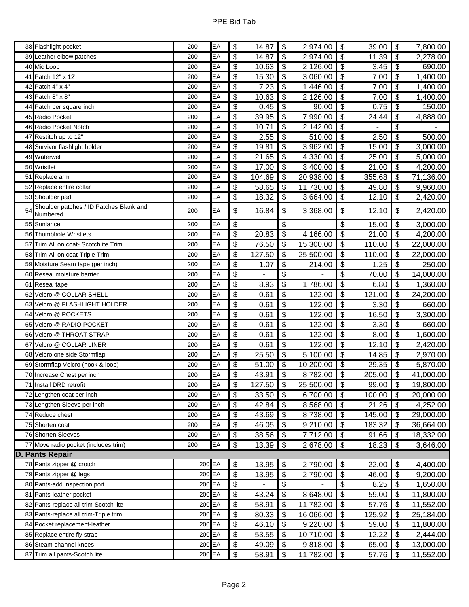|    | 38 Flashlight pocket                                     | 200        | EA       | \$                         | 14.87          | $\boldsymbol{\mathsf{S}}$              | 2,974.00                          | $\boldsymbol{\mathsf{S}}$              | 39.00           | $\boldsymbol{\mathsf{S}}$                             | 7,800.00              |
|----|----------------------------------------------------------|------------|----------|----------------------------|----------------|----------------------------------------|-----------------------------------|----------------------------------------|-----------------|-------------------------------------------------------|-----------------------|
| 39 | Leather elbow patches                                    | 200        | EA       | \$                         | 14.87          | \$                                     | 2,974.00                          | $\boldsymbol{\mathsf{S}}$              | 11.39           | \$                                                    | 2,278.00              |
|    | 40 Mic Loop                                              | 200        | EA       | $\boldsymbol{\mathsf{S}}$  | 10.63          | $\boldsymbol{\mathsf{S}}$              | 2,126.00                          | $\boldsymbol{\mathsf{S}}$              | 3.45            | $\boldsymbol{\mathsf{\$}}$                            | 690.00                |
|    | 41 Patch 12" x 12"                                       | 200        | EA       | \$                         | 15.30          | \$                                     | 3,060.00                          | \$                                     | 7.00            | $\boldsymbol{\mathsf{S}}$                             | 1,400.00              |
|    | 42 Patch 4" x 4"                                         | 200        | EA       | \$                         | 7.23           | \$                                     | 1,446.00                          | \$                                     | 7.00            | $\boldsymbol{\theta}$                                 | 1,400.00              |
|    | 43 Patch 8" x 8"                                         | 200        | EA       | \$                         | 10.63          | $\boldsymbol{\mathsf{S}}$              | 2,126.00                          | $\overline{\boldsymbol{\theta}}$       | 7.00            | $\boldsymbol{\mathsf{\$}}$                            | 1,400.00              |
| 44 | Patch per square inch                                    | 200        | EA       | \$                         | 0.45           | \$                                     | 90.00                             | \$                                     | 0.75            | \$                                                    | 150.00                |
|    | 45 Radio Pocket                                          | 200        | EA       | \$                         | 39.95          | \$                                     | 7,990.00                          | \$                                     | 24.44           | \$                                                    | 4,888.00              |
|    | 46 Radio Pocket Notch                                    | 200        | EA       | $\overline{\mathbf{3}}$    | 10.71          | $\boldsymbol{\mathsf{S}}$              | 2,142.00                          | $\boldsymbol{\mathsf{S}}$              | ÷,              | $\boldsymbol{\mathsf{S}}$                             |                       |
|    | 47 Restitch up to 12"                                    | 200        | EA       | \$                         | 2.55           | \$                                     | 510.00                            | \$                                     | 2.50            | \$                                                    | 500.00                |
|    | 48 Survivor flashlight holder                            | 200        | EA       | \$                         | 19.81          | $\boldsymbol{\mathsf{S}}$              | 3,962.00                          | $\overline{\mathbf{3}}$                | 15.00           | $\boldsymbol{\mathsf{S}}$                             | 3,000.00              |
|    | 49 Waterwell                                             | 200        | EA       | \$                         | 21.65          | $\sqrt[6]{\frac{1}{2}}$                | 4,330.00                          | $\boldsymbol{\mathsf{S}}$              | 25.00           | $\overline{\mathbf{3}}$                               | 5,000.00              |
|    | 50 Wristlet                                              | 200        | EA       | \$                         | 17.00          | \$                                     | 3,400.00                          | $\boldsymbol{\mathsf{S}}$              | 21.00           | \$                                                    | 4,200.00              |
|    | 51 Replace arm                                           | 200        | EA       | \$                         | 104.69         | $\boldsymbol{\mathsf{S}}$              | 20,938.00                         | $\boldsymbol{\mathsf{S}}$              | 355.68          | $\boldsymbol{\mathsf{S}}$                             | 71,136.00             |
|    | 52 Replace entire collar                                 | 200        | EA       | \$                         | 58.65          | $\boldsymbol{\mathsf{S}}$              | 11,730.00                         | \$                                     | 49.80           | $\sqrt[6]{\frac{1}{2}}$                               | 9,960.00              |
|    | 53 Shoulder pad                                          | 200        | EA       | \$                         | 18.32          | \$                                     | 3,664.00                          | \$                                     | 12.10           | \$                                                    | 2,420.00              |
| 54 | Shoulder patches / ID Patches Blank and                  | 200        | EA       | \$                         | 16.84          | \$                                     | 3,368.00                          | \$                                     | 12.10           | \$                                                    | 2,420.00              |
|    | Numbered                                                 |            |          |                            |                |                                        |                                   |                                        |                 |                                                       |                       |
|    | 55 Sunlance                                              | 200        | EA       | \$                         |                | \$                                     |                                   | \$                                     | 15.00           | \$                                                    | 3,000.00              |
|    | 56 Thumbhole Wristlets                                   | 200        | EA       | \$                         | 20.83          | $\boldsymbol{\theta}$                  | 4,166.00                          | $\overline{\mathbf{3}}$                | 21.00           | $\boldsymbol{\mathsf{\$}}$                            | 4,200.00              |
| 57 | Trim All on coat- Scotchlite Trim                        | 200        | EA       | \$                         | 76.50          | $\sqrt[6]{3}$                          | 15,300.00                         | $\boldsymbol{\mathsf{S}}$              | 110.00          | $\boldsymbol{\mathsf{S}}$                             | 22,000.00             |
|    | 58 Trim All on coat-Triple Trim                          | 200        | EA       | \$                         | 127.50         | \$                                     | 25,500.00                         | \$                                     | 110.00          | \$                                                    | 22,000.00             |
|    | 59 Moisture Seam tape (per inch)                         | 200        | EA       | \$                         | 1.07           | \$                                     | 214.00                            | $\boldsymbol{\mathsf{S}}$              | 1.25            | $\boldsymbol{\mathsf{S}}$                             | 250.00                |
|    | 60 Reseal moisture barrier                               | 200        | EA       | \$                         |                | \$                                     |                                   | \$                                     | 70.00           | $\boldsymbol{\mathsf{S}}$                             | 14,000.00             |
|    | 61 Reseal tape                                           | 200        | EA       | \$                         | 8.93           | \$                                     | 1,786.00                          | \$                                     | 6.80            | $\boldsymbol{\mathsf{S}}$                             | 1,360.00              |
| 62 | Velcro @ COLLAR SHELL                                    | 200        | EA       | \$                         | 0.61           | $\boldsymbol{\mathsf{S}}$              | 122.00                            | $\boldsymbol{\mathsf{S}}$              | 121.00          | $\boldsymbol{\mathsf{\$}}$                            | 24,200.00             |
| 63 | Velcro @ FLASHLIGHT HOLDER                               | 200        | EA       | \$                         | 0.61<br>0.61   | \$<br>$\overline{\$}$                  | 122.00                            | \$<br>$\overline{\mathfrak{s}}$        | 3.30            | \$<br>\$                                              | 660.00                |
| 64 | Velcro @ POCKETS<br>65 Velcro @ RADIO POCKET             | 200        | EA<br>EA | \$                         |                |                                        | 122.00                            |                                        | 16.50           |                                                       | 3,300.00              |
|    | 66 Velcro @ THROAT STRAP                                 | 200        | EA       | $\overline{\$}$            | 0.61           | $\overline{\boldsymbol{\mathfrak{s}}}$ | 122.00                            | s)                                     | 3.30            | ക                                                     | 660.00                |
|    | Velcro @ COLLAR LINER                                    | 200        | EA       | \$                         | 0.61           | \$<br>$\overline{\boldsymbol{\theta}}$ | 122.00                            | \$<br>$\overline{\boldsymbol{\theta}}$ | 8.00            | \$                                                    | 1,600.00              |
| 67 | 68 Velcro one side Stormflap                             | 200<br>200 | EA       | \$<br>\$                   | 0.61<br>25.50  | $\sqrt[6]{3}$                          | 122.00                            | $\boldsymbol{\mathsf{S}}$              | 12.10           | $\boldsymbol{\mathsf{\$}}$<br>$\sqrt[6]{\frac{1}{2}}$ | 2,420.00              |
|    | 69 Stormflap Velcro (hook & loop)                        | 200        | EA       | \$                         | 51.00          | \$                                     | 5,100.00                          | $\boldsymbol{\mathsf{S}}$              | 14.85           | \$                                                    | 2,970.00              |
|    | 70 Increase Chest per inch                               | 200        | EA       | $\overline{\mathbf{3}}$    | 43.91          | $\overline{\mathbf{3}}$                | 10,200.00<br>8,782.00             | $\boldsymbol{\mathsf{S}}$              | 29.35<br>205.00 | $\overline{\boldsymbol{\mathfrak{s}}}$                | 5,870.00<br>41,000.00 |
|    | 71 Install DRD retrofit                                  | 200        | EA       | $\overline{\theta}$        | 127.50 \$      |                                        | $25,500.00$ \$                    |                                        | 99.00 \$        |                                                       | 19,800.00             |
|    |                                                          | 200        | EA       | \$                         | 33.50          |                                        |                                   | \$                                     |                 | \$                                                    | 20,000.00             |
|    | 72 Lengthen coat per inch<br>73 Lengthen Sleeve per inch | 200        | EA       | \$                         | 42.84          | \$<br>$\sqrt{3}$                       | 6,700.00<br>8,568.00              | \$                                     | 100.00<br>21.26 | l \$                                                  | 4,252.00              |
|    | 74 Reduce chest                                          |            | EA       | \$                         | 43.69          | \$                                     |                                   | \$                                     | 145.00          | \$                                                    | 29,000.00             |
|    | 75 Shorten coat                                          | 200<br>200 | EA       | \$                         | 46.05          | \$                                     | 8,738.00<br>$\overline{9,}210.00$ | \$                                     | 183.32          | \$                                                    | 36,664.00             |
|    | 76 Shorten Sleeves                                       | 200        | EA       | \$                         | 38.56          | \$                                     | 7,712.00                          | $\boldsymbol{\mathsf{s}}$              | 91.66           | \$                                                    | 18,332.00             |
|    | 77 Move radio pocket (includes trim)                     | 200        | EA       | \$                         | 13.39          | \$                                     | 2,678.00                          | \$                                     | 18.23           | \$                                                    | 3,646.00              |
|    | <b>D. Pants Repair</b>                                   |            |          |                            |                |                                        |                                   |                                        |                 |                                                       |                       |
|    | 78 Pants zipper @ crotch                                 | 200 EA     |          | $\boldsymbol{\theta}$      | 13.95          | $\boldsymbol{\theta}$                  | 2,790.00                          | $\boldsymbol{\mathsf{\$}}$             | 22.00           | $\sqrt{3}$                                            | 4,400.00              |
| 79 | Pants zipper @ legs                                      | 200 EA     |          | $\boldsymbol{\mathsf{\$}}$ | 13.95          | $\boldsymbol{\theta}$                  | 2,790.00                          | $\boldsymbol{\theta}$                  | 46.00           | \$                                                    | 9,200.00              |
|    | 80 Pants-add inspection port                             | 200 EA     |          | \$                         | $\blacksquare$ | \$                                     |                                   | \$                                     | 8.25            | \$                                                    | 1,650.00              |
|    | 81 Pants-leather pocket                                  | 200 EA     |          | $\boldsymbol{\mathsf{S}}$  | 43.24          | \$                                     | 8,648.00                          | $\boldsymbol{\mathsf{s}}$              | 59.00           | $\sqrt{3}$                                            | 11,800.00             |
|    | 82 Pants-replace all trim-Scotch lite                    | 200 EA     |          | \$                         | 58.91          | \$                                     | 11,782.00                         | \$                                     | 57.76           | \$                                                    | 11,552.00             |
|    | 83 Pants-replace all trim-Triple trim                    | 200 EA     |          | \$                         | 80.33          | $\frac{1}{2}$                          | 16,066.00                         | \$                                     | 125.92          | \$                                                    | 25,184.00             |
|    | 84 Pocket replacement-leather                            | 200 EA     |          | $\overline{\mathbf{S}}$    | 46.10          | $\sqrt{3}$                             | 9,220.00                          | \$                                     | 59.00           | $\sqrt{3}$                                            | 11,800.00             |
|    | 85 Replace entire fly strap                              | 200 EA     |          | \$                         | 53.55          | \$                                     | 10,710.00                         | $\frac{1}{2}$                          | 12.22           | \$                                                    | 2,444.00              |
|    | 86 Steam channel knees                                   | 200 EA     |          | $\frac{1}{2}$              | 49.09          | $\boldsymbol{\mathsf{s}}$              | 9,818.00                          | $\boldsymbol{\mathsf{s}}$              | 65.00           | \$                                                    | 13,000.00             |
|    | 87 Trim all pants-Scotch lite                            | 200 EA     |          | $\boldsymbol{\mathsf{S}}$  | 58.91          | \$                                     | 11,782.00                         | \$                                     | 57.76           | $\sqrt{3}$                                            | 11,552.00             |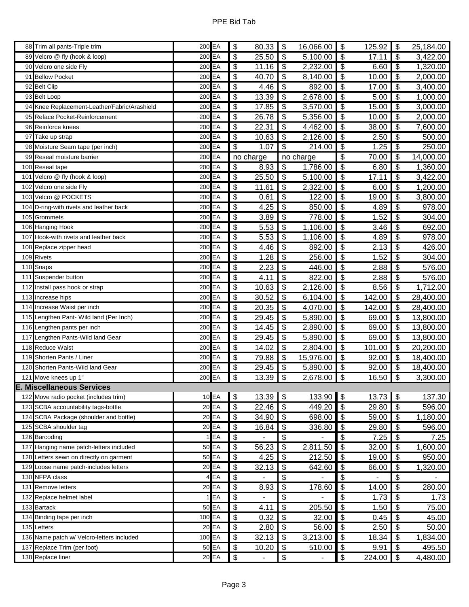|     | 88 Trim all pants-Triple trim                            | 200 EA   |         | $\boldsymbol{\mathsf{\$}}$ | 80.33     | $\boldsymbol{\mathsf{S}}$              | 16,066.00 | $\boldsymbol{\mathsf{S}}$        | 125.92         | $\sqrt[6]{\frac{1}{2}}$                | 25,184.00             |
|-----|----------------------------------------------------------|----------|---------|----------------------------|-----------|----------------------------------------|-----------|----------------------------------|----------------|----------------------------------------|-----------------------|
|     | 89 Velcro @ fly (hook & loop)                            | 200 EA   |         | \$                         | 25.50     | $\sqrt[6]{\frac{1}{2}}$                | 5,100.00  | $\boldsymbol{\mathsf{S}}$        | 17.11          | $\boldsymbol{\mathsf{\$}}$             | 3,422.00              |
| 90  | Velcro one side Fly                                      | 200 EA   |         | \$                         | 11.16     | \$                                     | 2,232.00  | \$                               | 6.60           | \$                                     | 1,320.00              |
|     | 91 Bellow Pocket                                         | 200 EA   |         | $\overline{\mathbf{3}}$    | 40.70     | $\overline{\mathbf{s}}$                | 8,140.00  | $\overline{\boldsymbol{\theta}}$ | 10.00          | $\boldsymbol{\mathsf{\$}}$             | 2,000.00              |
|     | 92 Belt Clip                                             | 200 EA   |         | \$                         | 4.46      | $\boldsymbol{\theta}$                  | 892.00    | \$                               | 17.00          | $\boldsymbol{\mathsf{S}}$              | 3,400.00              |
|     | 93 Belt Loop                                             | 200 EA   |         | \$                         | 13.39     | \$                                     | 2,678.00  | \$                               | 5.00           | \$                                     | 1,000.00              |
|     | 94 Knee Replacement-Leather/Fabric/Arashield             | 200 EA   |         | \$                         | 17.85     | $\overline{\boldsymbol{\mathfrak{s}}}$ | 3,570.00  | $\boldsymbol{\mathsf{S}}$        | 15.00          | $\overline{\boldsymbol{\mathfrak{s}}}$ | 3,000.00              |
| 95  | Reface Pocket-Reinforcement                              | 200 EA   |         | \$                         | 26.78     | \$                                     | 5,356.00  | \$                               | 10.00          | \$                                     | 2,000.00              |
|     | 96 Reinforce knees                                       | 200 EA   |         | \$                         | 22.31     | \$                                     | 4,462.00  | $\boldsymbol{\mathsf{S}}$        | 38.00          | \$                                     | 7,600.00              |
|     | 97 Take up strap                                         | 200 EA   |         | $\overline{\mathbf{3}}$    | 10.63     | $\boldsymbol{\mathsf{S}}$              | 2,126.00  | $\boldsymbol{\mathsf{S}}$        | 2.50           | $\overline{\boldsymbol{\mathfrak{s}}}$ | 500.00                |
|     | 98 Moisture Seam tape (per inch)                         | 200 EA   |         | \$                         | 1.07      | $\overline{\mathbf{G}}$                | 214.00    | \$                               | 1.25           | $\frac{1}{2}$                          | 250.00                |
|     | 99 Reseal moisture barrier                               | 200 EA   |         |                            | no charge |                                        | no charge | \$                               | 70.00          | \$                                     | 14,000.00             |
|     | 100 Reseal tape                                          | 200 EA   |         | \$                         | 8.93      | $\boldsymbol{\mathsf{S}}$              | 1,786.00  | $\boldsymbol{\theta}$            | 6.80           | $\overline{\boldsymbol{\mathfrak{s}}}$ | 1,360.00              |
|     | 101 Velcro @ fly (hook & loop)                           | 200 EA   |         | $\overline{\mathbf{e}}$    | 25.50     | \$                                     | 5,100.00  | \$                               | 17.11          | \$                                     | 3,422.00              |
|     | 102 Velcro one side Fly                                  | 200 EA   |         | $\overline{\mathbf{3}}$    | 11.61     | \$                                     | 2,322.00  | $\overline{\boldsymbol{\theta}}$ | 6.00           | \$                                     | 1,200.00              |
|     | 103 Velcro @ POCKETS                                     | 200 EA   |         | \$                         | 0.61      | \$                                     | 122.00    | \$                               | 19.00          | $\boldsymbol{\mathsf{S}}$              | 3,800.00              |
|     | 104 D-ring-with rivets and leather back                  | 200 EA   |         | \$                         | 4.25      | \$                                     | 850.00    | \$                               | 4.89           | \$                                     | 978.00                |
|     | 105 Grommets                                             | 200 EA   |         | $\overline{\$}$            | 3.89      | \$                                     | 778.00    | $\overline{\mathcal{E}}$         | 1.52           | \$                                     | 304.00                |
|     | 106 Hanging Hook                                         | 200 EA   |         | \$                         | 5.53      | $\overline{\mathcal{L}}$               | 1,106.00  | $\overline{\mathbf{3}}$          | 3.46           | \$                                     | 692.00                |
|     | 107 Hook-with rivets and leather back                    | 200 EA   |         | \$                         | 5.53      | \$                                     | 1,106.00  | $\boldsymbol{\mathsf{S}}$        | 4.89           | \$                                     | 978.00                |
|     | 108 Replace zipper head                                  | 200 EA   |         | $\overline{\$}$            | 4.46      | $\overline{\boldsymbol{\theta}}$       | 892.00    | $\overline{\mathbf{S}}$          | 2.13           | $\overline{\mathbf{3}}$                | 426.00                |
|     | 109 Rivets                                               | 200 EA   |         | \$                         | 1.28      | \$                                     | 256.00    | \$                               | 1.52           | \$                                     | 304.00                |
|     | 110 Snaps                                                | 200 EA   |         | $\overline{\mathcal{E}}$   | 2.23      | \$                                     | 446.00    | \$                               | 2.88           | \$                                     | 576.00                |
|     | 111 Suspender button                                     | 200 EA   |         | $\overline{\mathcal{G}}$   | 4.11      | $\overline{\boldsymbol{\theta}}$       | 822.00    | $\boldsymbol{\theta}$            | 2.88           | $\overline{\mathbf{3}}$                | 576.00                |
|     | 112 Install pass hook or strap                           | 200 EA   |         | \$                         | 10.63     | \$                                     | 2,126.00  | \$                               | 8.56           | \$                                     | $\overline{1},712.00$ |
|     | 113 Increase hips                                        | 200 EA   |         | $\overline{\mathbf{3}}$    | 30.52     | $\boldsymbol{\mathsf{S}}$              | 6,104.00  | $\boldsymbol{\mathsf{S}}$        | 142.00         | \$                                     | 28,400.00             |
|     | 114 Increase Waist per inch                              | 200 EA   |         | \$                         | 20.35     | $\overline{\mathbf{3}}$                | 4,070.00  | \$                               | 142.00         | \$                                     | 28,400.00             |
|     | 115 Lengthen Pant- Wild land (Per Inch)                  | 200 EA   |         | \$                         | 29.45     | \$                                     | 5,890.00  | \$                               | 69.00          | \$                                     | 13,800.00             |
|     | 116 Lengthen pants per inch                              | 200 EA   |         | \$                         | 14.45     | \$                                     | 2,890.00  | \$                               | 69.00          | $\frac{1}{2}$                          | 13,800.00             |
|     | 117 Lengthen Pants-Wild land Gear                        | 200 EA   |         | \$                         | 29.45     | $\boldsymbol{\theta}$                  | 5,890.00  | $\boldsymbol{\theta}$            | 69.00          | \$                                     | 13,800.00             |
|     | 118 Reduce Waist                                         | 200 EA   |         | $\overline{\mathbf{3}}$    | 14.02     | \$                                     | 2,804.00  | $\boldsymbol{\mathsf{S}}$        | 101.00         | \$                                     | 20,200.00             |
|     | 119 Shorten Pants / Liner                                | 200 EA   |         | $\overline{\mathbf{3}}$    | 79.88     | $\overline{\boldsymbol{\mathfrak{s}}}$ | 15,976.00 | $\overline{\mathbf{S}}$          | 92.00          | $\overline{\boldsymbol{\mathfrak{s}}}$ | 18,400.00             |
|     | 120 Shorten Pants-Wild land Gear                         | 200 EA   |         | \$                         | 29.45     | \$                                     | 5,890.00  | \$                               | 92.00          | \$                                     | 18,400.00             |
|     | 121 Move knees up 1"<br><b>E. Miscellaneous Services</b> | $200$ EA |         | \$                         | 13.39     | $\boldsymbol{\mathsf{S}}$              | 2,678.00  | $\boldsymbol{\mathsf{S}}$        | 16.50          | $\overline{\mathfrak{s}}$              | 3,300.00              |
|     | 122 Move radio pocket (includes trim)                    |          | 10 EA   | $\boldsymbol{\mathsf{S}}$  | 13.39     | $\sqrt{3}$                             | 133.90 \$ |                                  | 13.73          | $\boldsymbol{\mathsf{S}}$              | 137.30                |
|     | 123 SCBA accountability tags-bottle                      |          | $20$ EA | $\boldsymbol{\mathsf{S}}$  | 22.46     | $\boldsymbol{\mathsf{S}}$              | 449.20    | \$                               | 29.80          | $\boldsymbol{\mathsf{S}}$              | 596.00                |
|     | 124 SCBA Package (shoulder and bottle)                   |          | $20$ EA | $\overline{\$}$            | 34.90     | $\boldsymbol{\mathsf{s}}$              | 698.00    | $\sqrt{3}$                       | 59.00          | $\overline{\boldsymbol{\mathfrak{s}}}$ | 1,180.00              |
|     | 125 SCBA shoulder tag                                    |          | 20 EA   | \$                         | 16.84     | \$                                     | 336.80    | $\boldsymbol{\mathsf{S}}$        | 29.80          | \$                                     | 596.00                |
|     | 126 Barcoding                                            |          | 1EA     | \$                         |           | \$                                     |           | \$                               | 7.25           | $\overline{\mathbf{3}}$                | 7.25                  |
|     | 127 Hanging name patch-letters included                  |          | 50 EA   | \$                         | 56.23     | $\overline{\mathbf{S}}$                | 2,811.50  | $\overline{\mathbf{3}}$          | 32.00          | $\boldsymbol{\mathsf{S}}$              | 1,600.00              |
| 128 | Letters sewn on directly on garment                      |          | 50 EA   | \$                         | 4.25      | \$                                     | 212.50    | $\boldsymbol{\mathsf{S}}$        | 19.00          | \$                                     | 950.00                |
|     | 129 Loose name patch-includes letters                    |          | $20$ EA | $\boldsymbol{\mathsf{S}}$  | 32.13     | $\boldsymbol{\mathsf{S}}$              | 642.60    | $\sqrt[6]{\frac{1}{2}}$          | 66.00          | \$                                     | 1,320.00              |
|     | 130 NFPA class                                           |          | 4EA     | \$                         |           | \$                                     |           | \$                               | $\overline{a}$ | $\boldsymbol{\mathsf{S}}$              |                       |
|     | 131 Remove letters                                       |          | 20 EA   | \$                         | 8.93      | \$                                     | 178.60    | $\boldsymbol{\mathsf{S}}$        | 14.00          | \$                                     | 280.00                |
|     | 132 Replace helmet label                                 |          | EA      | \$                         |           | \$                                     |           | \$                               | 1.73           | \$                                     | 1.73                  |
|     | 133 Bartack                                              |          | 50 EA   | \$                         | 4.11      | \$                                     | 205.50    | $\boldsymbol{\mathsf{S}}$        | 1.50           | \$                                     | 75.00                 |
| 134 | Binding tape per inch                                    | 100 EA   |         | \$                         | 0.32      | \$                                     | 32.00     | $\frac{1}{2}$                    | 0.45           | \$                                     | 45.00                 |
|     | 135 Letters                                              |          | $20$ EA | $\boldsymbol{\mathsf{S}}$  | 2.80      | $\boldsymbol{\mathsf{S}}$              | 56.00     | $\sqrt[6]{\frac{1}{2}}$          | 2.50           | $\boldsymbol{\mathsf{S}}$              | 50.00                 |
|     | 136 Name patch w/ Velcro-letters included                | 100 EA   |         | \$                         | 32.13     | \$                                     | 3,213.00  | $\boldsymbol{\mathsf{S}}$        | 18.34          | $\boldsymbol{\mathsf{S}}$              | 1,834.00              |
|     | 137 Replace Trim (per foot)                              |          | 50 EA   | \$                         | 10.20     | \$                                     | 510.00    | $\boldsymbol{\theta}$            | 9.91           | \$                                     | 495.50                |
|     | 138 Replace liner                                        |          | 20 EA   | \$                         |           | \$                                     |           | \$                               | 224.00         | \$                                     | 4,480.00              |
|     |                                                          |          |         |                            |           |                                        |           |                                  |                |                                        |                       |